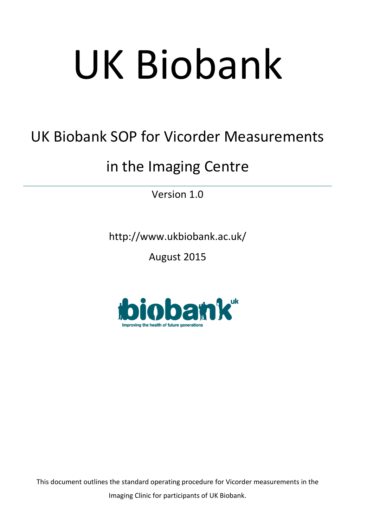# UK Biobank

# UK Biobank SOP for Vicorder Measurements

## in the Imaging Centre

Version 1.0

http://www.ukbiobank.ac.uk/

August 2015



This document outlines the standard operating procedure for Vicorder measurements in the Imaging Clinic for participants of UK Biobank.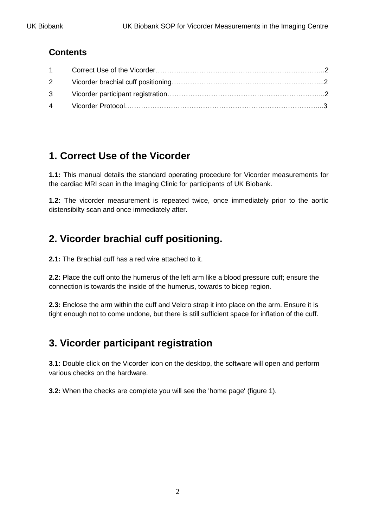#### **Contents**

### **1. Correct Use of the Vicorder**

**1.1:** This manual details the standard operating procedure for Vicorder measurements for the cardiac MRI scan in the Imaging Clinic for participants of UK Biobank.

**1.2:** The vicorder measurement is repeated twice, once immediately prior to the aortic distensibilty scan and once immediately after.

### **2. Vicorder brachial cuff positioning.**

**2.1:** The Brachial cuff has a red wire attached to it.

**2.2:** Place the cuff onto the humerus of the left arm like a blood pressure cuff; ensure the connection is towards the inside of the humerus, towards to bicep region.

**2.3:** Enclose the arm within the cuff and Velcro strap it into place on the arm. Ensure it is tight enough not to come undone, but there is still sufficient space for inflation of the cuff.

#### **3. Vicorder participant registration**

**3.1:** Double click on the Vicorder icon on the desktop, the software will open and perform various checks on the hardware.

**3.2:** When the checks are complete you will see the 'home page' (figure 1).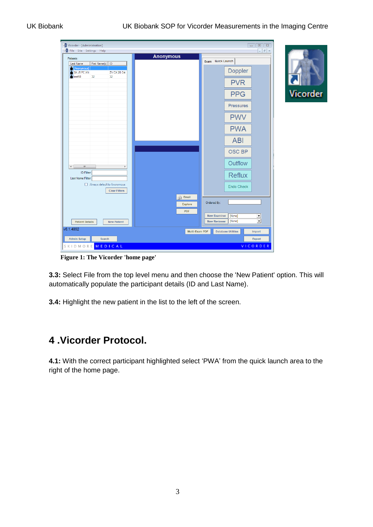**licorder** 

| Vicorder - [Administration]<br>File Site Settings Help<br>图                 |                                | $\Box$ $\Box$<br>$ E$ $\times$                        |   |
|-----------------------------------------------------------------------------|--------------------------------|-------------------------------------------------------|---|
| Patients:                                                                   | <b>Anonymous</b>               |                                                       |   |
| First Name(s)   ID<br>Last Name<br>[Anonymous]                              |                                | Exam Quick Launch                                     |   |
| 3X J5 PC XN<br>ZV CX 2B D4<br>$\triangleq$ test 58<br>32<br>32 <sup>°</sup> |                                | Doppler                                               |   |
|                                                                             |                                | <b>PVR</b>                                            | Ċ |
|                                                                             |                                | <b>PPG</b>                                            | ۱ |
|                                                                             |                                | <b>Pressures</b>                                      |   |
|                                                                             |                                | <b>PWV</b>                                            |   |
|                                                                             |                                | <b>PWA</b>                                            |   |
|                                                                             |                                | <b>ABI</b>                                            |   |
|                                                                             |                                | <b>OSC BP</b>                                         |   |
| $\leftarrow$<br>$\rm III$                                                   |                                | Outflow                                               |   |
| ID Filter:<br>Last Name Filter:                                             |                                | <b>Reflux</b>                                         |   |
| Always default to Anonymous<br><b>Clear Filters</b>                         |                                | <b>Endo Check</b>                                     |   |
|                                                                             | <b>Email</b><br><b>Explore</b> | Ordered By:                                           |   |
|                                                                             | <b>PDF</b>                     | <b>New Examiner</b><br>[None]                         |   |
| <b>Patient Details</b><br><b>New Patient</b>                                |                                | $\frac{1}{\sqrt{2}}$<br>[None]<br><b>New Reviewer</b> |   |
| v6.1.4892                                                                   | Multi-Exam PDF                 | <b>Database Utilities</b><br>Import                   |   |
| <b>Admin Setup</b><br>Search                                                |                                | <b>Export</b>                                         |   |
| SKIDMORE MEDICAL                                                            |                                | VICORDER                                              |   |

**Figure 1: The Vicorder 'home page'**

**3.3:** Select File from the top level menu and then choose the 'New Patient' option. This will automatically populate the participant details (ID and Last Name).

**3.4:** Highlight the new patient in the list to the left of the screen.

#### **4 .Vicorder Protocol.**

**4.1:** With the correct participant highlighted select 'PWA' from the quick launch area to the right of the home page.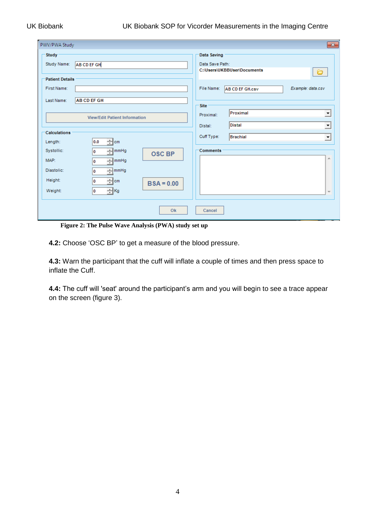#### UK Biobank UK Biobank SOP for Vicorder Measurements in the Imaging Centre

| PWV/PWA Study                                                                                                                      | $\mathbf{x}$                                                                                                                |  |  |
|------------------------------------------------------------------------------------------------------------------------------------|-----------------------------------------------------------------------------------------------------------------------------|--|--|
| <b>Study</b><br>Study Name:<br><b>AB CD EF GH</b>                                                                                  | Data Saving<br>Data Save Path:<br>C:\Users\UKBBUser\Documents<br>$\bullet$                                                  |  |  |
| <b>Patient Details</b><br>First Name:<br><b>AB CD EF GH</b><br>Last Name:                                                          | File Name:<br>Example: data.csv<br><b>AB CD EF GH.csv</b>                                                                   |  |  |
| <b>View/Edit Patient Information</b><br>Calculations                                                                               | <b>Site</b><br>Proximal<br>▼<br>Proximal:<br><b>Distal</b><br>$\overline{\phantom{a}}$<br>Distal:<br>Cuff Type:<br>Brachial |  |  |
| $\div$ cm<br>0.0<br>Length:<br>Systollic:<br>$\exists$ mmHg<br>$\bf{0}$<br><b>OSC BP</b><br>MAP:<br>$\exists$ mmHg<br>$\bf{0}$     | $\blacktriangledown$<br><b>Comments</b><br>土                                                                                |  |  |
| Diastolic:<br>$\frac{1}{2}$ mmHg<br>$\bf{0}$<br>Height:<br>÷∣cm<br>$\bf{0}$<br>$BSA = 0.00$<br>$\exists$ Kg<br>Weight:<br>$\bf{0}$ | $\overline{\nabla}$                                                                                                         |  |  |
| Ok                                                                                                                                 | Cancel                                                                                                                      |  |  |

**Figure 2: The Pulse Wave Analysis (PWA) study set up**

**4.2:** Choose 'OSC BP' to get a measure of the blood pressure.

**4.3:** Warn the participant that the cuff will inflate a couple of times and then press space to inflate the Cuff.

**4.4:** The cuff will 'seat' around the participant's arm and you will begin to see a trace appear on the screen (figure 3).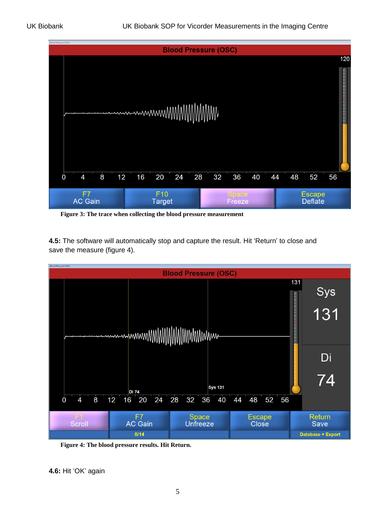

**Figure 3: The trace when collecting the blood pressure measurement**

**4.5:** The software will automatically stop and capture the result. Hit 'Return' to close and save the measure (figure 4).



**Figure 4: The blood pressure results. Hit Return.**

**4.6:** Hit 'OK' again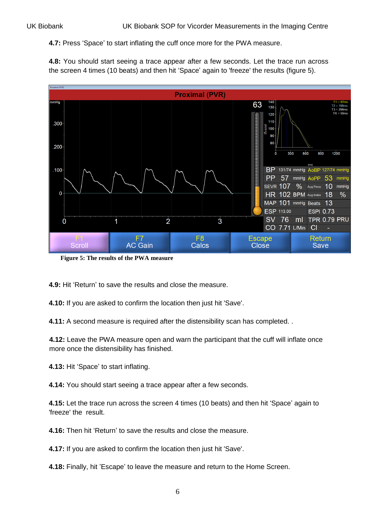**4.7:** Press 'Space' to start inflating the cuff once more for the PWA measure.

**4.8:** You should start seeing a trace appear after a few seconds. Let the trace run across the screen 4 times (10 beats) and then hit 'Space' again to 'freeze' the results (figure 5).



**Figure 5: The results of the PWA measure**

**4.9:** Hit 'Return' to save the results and close the measure.

**4.10:** If you are asked to confirm the location then just hit 'Save'.

**4.11:** A second measure is required after the distensibility scan has completed. .

**4.12:** Leave the PWA measure open and warn the participant that the cuff will inflate once more once the distensibility has finished.

**4.13:** Hit 'Space' to start inflating.

**4.14:** You should start seeing a trace appear after a few seconds.

**4.15:** Let the trace run across the screen 4 times (10 beats) and then hit 'Space' again to 'freeze' the result.

**4.16:** Then hit 'Return' to save the results and close the measure.

**4.17:** If you are asked to confirm the location then just hit 'Save'.

**4.18:** Finally, hit 'Escape' to leave the measure and return to the Home Screen.